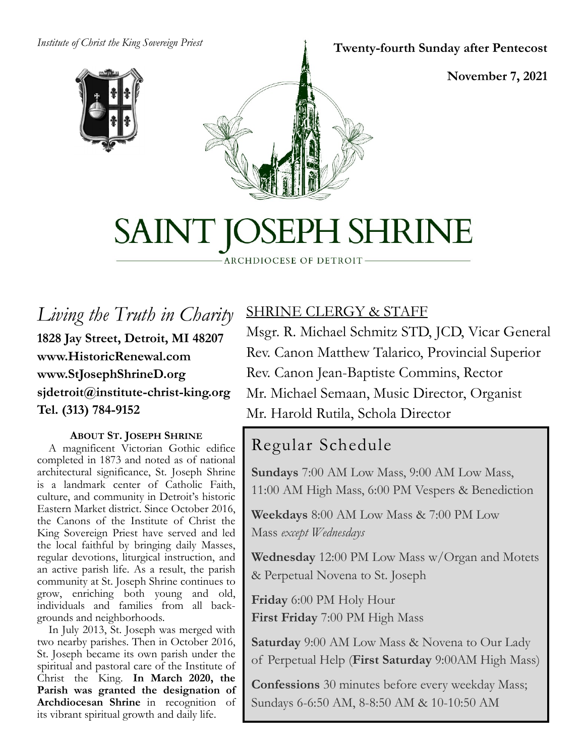#### *Institute of Christ the King Sovereign Priest*





**November 7, 2021**

# SAINT JOSEPH SHRINE

ARCHDIOCESE OF DETROIT

*Living the Truth in Charity* **1828 Jay Street, Detroit, MI 48207 www.HistoricRenewal.com www.StJosephShrineD.org sjdetroit@institute-christ-king.org Tel. (313) 784-9152**

#### **ABOUT ST. JOSEPH SHRINE**

 A magnificent Victorian Gothic edifice completed in 1873 and noted as of national architectural significance, St. Joseph Shrine is a landmark center of Catholic Faith, culture, and community in Detroit's historic Eastern Market district. Since October 2016, the Canons of the Institute of Christ the King Sovereign Priest have served and led the local faithful by bringing daily Masses, regular devotions, liturgical instruction, and an active parish life. As a result, the parish community at St. Joseph Shrine continues to grow, enriching both young and old, individuals and families from all backgrounds and neighborhoods.

 In July 2013, St. Joseph was merged with two nearby parishes. Then in October 2016, St. Joseph became its own parish under the spiritual and pastoral care of the Institute of Christ the King. **In March 2020, the Parish was granted the designation of Archdiocesan Shrine** in recognition of its vibrant spiritual growth and daily life.

# SHRINE CLERGY & STAFF

Msgr. R. Michael Schmitz STD, JCD, Vicar General Rev. Canon Matthew Talarico, Provincial Superior Rev. Canon Jean-Baptiste Commins, Rector Mr. Michael Semaan, Music Director, Organist Mr. Harold Rutila, Schola Director

# Regular Schedule

**Sundays** 7:00 AM Low Mass, 9:00 AM Low Mass, 11:00 AM High Mass, 6:00 PM Vespers & Benediction

**Weekdays** 8:00 AM Low Mass & 7:00 PM Low Mass *except Wednesdays*

**Wednesday** 12:00 PM Low Mass w/Organ and Motets & Perpetual Novena to St. Joseph

**Friday** 6:00 PM Holy Hour **First Friday** 7:00 PM High Mass

**Saturday** 9:00 AM Low Mass & Novena to Our Lady of Perpetual Help (**First Saturday** 9:00AM High Mass)

**Confessions** 30 minutes before every weekday Mass; Sundays 6-6:50 AM, 8-8:50 AM & 10-10:50 AM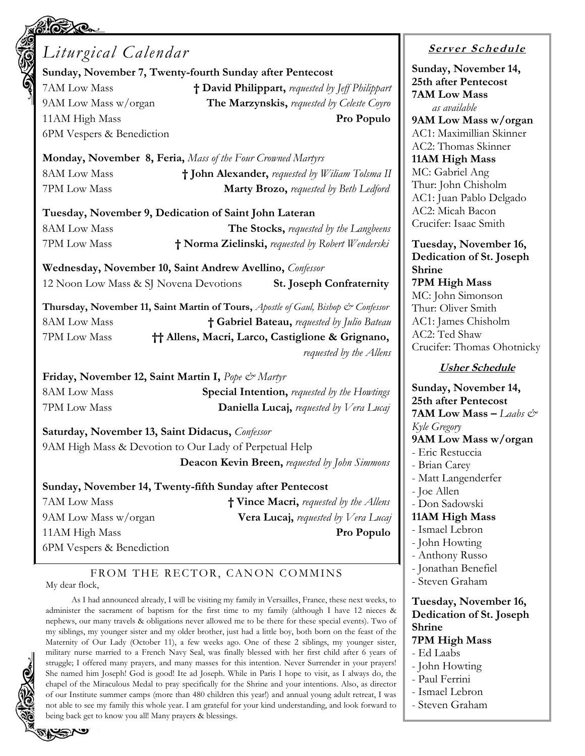|                                                       | Liturgical Calendar                                                                                       |                                                     | <b>Server Schedule</b>                           |  |
|-------------------------------------------------------|-----------------------------------------------------------------------------------------------------------|-----------------------------------------------------|--------------------------------------------------|--|
|                                                       | Sunday, November 7, Twenty-fourth Sunday after Pentecost                                                  |                                                     | Sunday, November 14,                             |  |
|                                                       | 7AM Low Mass<br>† David Philippart, requested by Jeff Philippart                                          |                                                     | 25th after Pentecost                             |  |
|                                                       |                                                                                                           |                                                     | <b>7AM Low Mass</b>                              |  |
|                                                       | 9AM Low Mass w/organ                                                                                      | The Marzynskis, requested by Celeste Coyro          | as available                                     |  |
|                                                       | 11AM High Mass                                                                                            | Pro Populo                                          | 9AM Low Mass w/organ<br>AC1: Maximillian Skinner |  |
|                                                       | 6PM Vespers & Benediction                                                                                 |                                                     |                                                  |  |
|                                                       | Monday, November 8, Feria, Mass of the Four Crowned Martyrs                                               | AC2: Thomas Skinner<br>11AM High Mass               |                                                  |  |
|                                                       | 8AM Low Mass                                                                                              | † John Alexander, requested by Wiliam Tolsma II     | MC: Gabriel Ang                                  |  |
|                                                       | 7PM Low Mass                                                                                              | Marty Brozo, requested by Beth Ledford              | Thur: John Chisholm                              |  |
|                                                       |                                                                                                           |                                                     | AC1: Juan Pablo Delgado                          |  |
| Tuesday, November 9, Dedication of Saint John Lateran |                                                                                                           |                                                     | AC2: Micah Bacon                                 |  |
|                                                       | <b>8AM Low Mass</b>                                                                                       | The Stocks, requested by the Langbeens              | Crucifer: Isaac Smith                            |  |
|                                                       | 7PM Low Mass                                                                                              | † Norma Zielinski, requested by Robert Wenderski    | Tuesday, November 16,                            |  |
|                                                       |                                                                                                           |                                                     | Dedication of St. Joseph                         |  |
|                                                       | Wednesday, November 10, Saint Andrew Avellino, Confessor                                                  |                                                     | Shrine                                           |  |
|                                                       | 12 Noon Low Mass & SJ Novena Devotions                                                                    | <b>St. Joseph Confraternity</b>                     | <b>7PM High Mass</b>                             |  |
|                                                       | Thursday, November 11, Saint Martin of Tours, Apostle of Gaul, Bishop & Confessor                         |                                                     | MC: John Simonson                                |  |
|                                                       | <b>8AM Low Mass</b>                                                                                       |                                                     | Thur: Oliver Smith<br>AC1: James Chisholm        |  |
|                                                       |                                                                                                           | † Gabriel Bateau, requested by Julio Bateau         | AC2: Ted Shaw                                    |  |
|                                                       | 7PM Low Mass                                                                                              | †† Allens, Macri, Larco, Castiglione & Grignano,    | Crucifer: Thomas Ohotnicky                       |  |
|                                                       |                                                                                                           | requested by the Allens                             |                                                  |  |
|                                                       | Friday, November 12, Saint Martin I, Pope & Martyr                                                        |                                                     | <b>Usher Schedule</b>                            |  |
|                                                       | 8AM Low Mass                                                                                              | <b>Special Intention, requested by the Howtings</b> | Sunday, November 14,                             |  |
|                                                       | 7PM Low Mass                                                                                              | Daniella Lucaj, requested by Vera Lucaj             | 25th after Pentecost<br>7AM Low Mass - Laabs &   |  |
|                                                       |                                                                                                           |                                                     | Kyle Gregory                                     |  |
|                                                       | Saturday, November 13, Saint Didacus, Confessor<br>9AM High Mass & Devotion to Our Lady of Perpetual Help |                                                     | 9AM Low Mass w/organ                             |  |
|                                                       |                                                                                                           |                                                     | - Eric Restuccia                                 |  |
|                                                       |                                                                                                           | Deacon Kevin Breen, requested by John Simmons       | - Brian Carey                                    |  |
|                                                       | Sunday, November 14, Twenty-fifth Sunday after Pentecost                                                  | - Matt Langenderfer                                 |                                                  |  |
|                                                       | 7AM Low Mass                                                                                              | † Vince Macri, requested by the Allens              | - Joe Allen                                      |  |
|                                                       | 9AM Low Mass w/organ                                                                                      | <b>Vera Lucaj,</b> requested by $V$ era Lucaj       | - Don Sadowski<br>11AM High Mass                 |  |
|                                                       | 11AM High Mass                                                                                            | Pro Populo                                          | - Ismael Lebron                                  |  |
|                                                       |                                                                                                           |                                                     | - John Howting                                   |  |
|                                                       | 6PM Vespers & Benediction                                                                                 |                                                     | - Anthony Russo                                  |  |

#### FROM THE RECTOR, CANON COMMINS My dear flock,

As I had announced already, I will be visiting my family in Versailles, France, these next weeks, to administer the sacrament of baptism for the first time to my family (although I have 12 nieces & nephews, our many travels & obligations never allowed me to be there for these special events). Two of my siblings, my younger sister and my older brother, just had a little boy, both born on the feast of the Maternity of Our Lady (October 11), a few weeks ago. One of these 2 siblings, my younger sister, military nurse married to a French Navy Seal, was finally blessed with her first child after 6 years of struggle; I offered many prayers, and many masses for this intention. Never Surrender in your prayers! She named him Joseph! God is good! Ite ad Joseph. While in Paris I hope to visit, as I always do, the chapel of the Miraculous Medal to pray specifically for the Shrine and your intentions. Also, as director of our Institute summer camps (more than 480 children this year!) and annual young adult retreat, I was not able to see my family this whole year. I am grateful for your kind understanding, and look forward to being back get to know you all! Many prayers & blessings.

ಀ

#### **7PM High Mass** - Ed Laabs

- Jonathan Benefiel - Steven Graham

**Tuesday, November 16, Dedication of St. Joseph** 

- John Howting
- Paul Ferrini

**Shrine**

- Ismael Lebron
- Steven Graham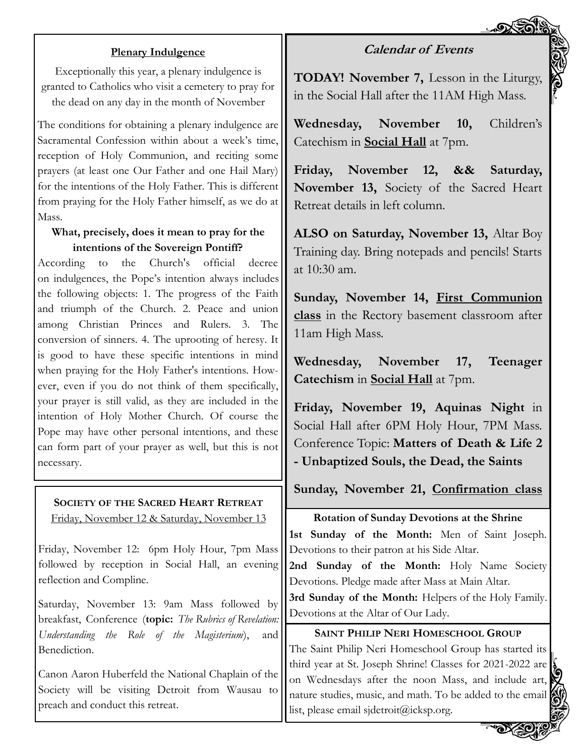#### **Calendar of Events**

#### **Plenary Indulgence**

Exceptionally this year, a plenary indulgence is granted to Catholics who visit a cemetery to pray for the dead on any day in the month of November

The conditions for obtaining a plenary indulgence are Sacramental Confession within about a week's time, reception of Holy Communion, and reciting some prayers (at least one Our Father and one Hail Mary) for the intentions of the Holy Father. This is different from praying for the Holy Father himself, as we do at Mass.

#### **What, precisely, does it mean to pray for the intentions of the Sovereign Pontiff?**

According to the Church's official decree on indulgences, the Pope's intention always includes the following objects: 1. The progress of the Faith and triumph of the Church. 2. Peace and union among Christian Princes and Rulers. 3. The conversion of sinners. 4. The uprooting of heresy. It is good to have these specific intentions in mind when praying for the Holy Father's intentions. However, even if you do not think of them specifically, your prayer is still valid, as they are included in the intention of Holy Mother Church. Of course the Pope may have other personal intentions, and these can form part of your prayer as well, but this is not necessary.

# **SOCIETY OF THE SACRED HEART RETREAT**

Friday, November 12 & Saturday, November 13

Friday, November 12: 6pm Holy Hour, 7pm Mass followed by reception in Social Hall, an evening reflection and Compline.

Saturday, November 13: 9am Mass followed by breakfast, Conference (**topic:** *The Rubrics of Revelation: Understanding the Role of the Magisterium*), and Benediction.

Canon Aaron Huberfeld the National Chaplain of the Society will be visiting Detroit from Wausau to preach and conduct this retreat.

**TODAY! November 7,** Lesson in the Liturgy, in the Social Hall after the 11AM High Mass.

**Wednesday, November 10,** Children's Catechism in **Social Hall** at 7pm.

**Friday, November 12, && Saturday, November 13,** Society of the Sacred Heart Retreat details in left column.

**ALSO on Saturday, November 13,** Altar Boy Training day. Bring notepads and pencils! Starts at 10:30 am.

**Sunday, November 14, First Communion class** in the Rectory basement classroom after 11am High Mass.

**Wednesday, November 17, Teenager Catechism** in **Social Hall** at 7pm.

**Friday, November 19, Aquinas Night** in Social Hall after 6PM Holy Hour, 7PM Mass. Conference Topic: **Matters of Death & Life 2 - Unbaptized Souls, the Dead, the Saints**

**Sunday, November 21, Confirmation class** 

**Rotation of Sunday Devotions at the Shrine 1st Sunday of the Month:** Men of Saint Joseph. Devotions to their patron at his Side Altar.

2nd Sunday of the Month: Holy Name Society Devotions. Pledge made after Mass at Main Altar.

3rd Sunday of the Month: Helpers of the Holy Family. Devotions at the Altar of Our Lady.

#### **SAINT PHILIP NERI HOMESCHOOL GROUP**

The Saint Philip Neri Homeschool Group has started its third year at St. Joseph Shrine! Classes for 2021-2022 are on Wednesdays after the noon Mass, and include art, nature studies, music, and math. To be added to the email list, please email sjdetroit@icksp.org.